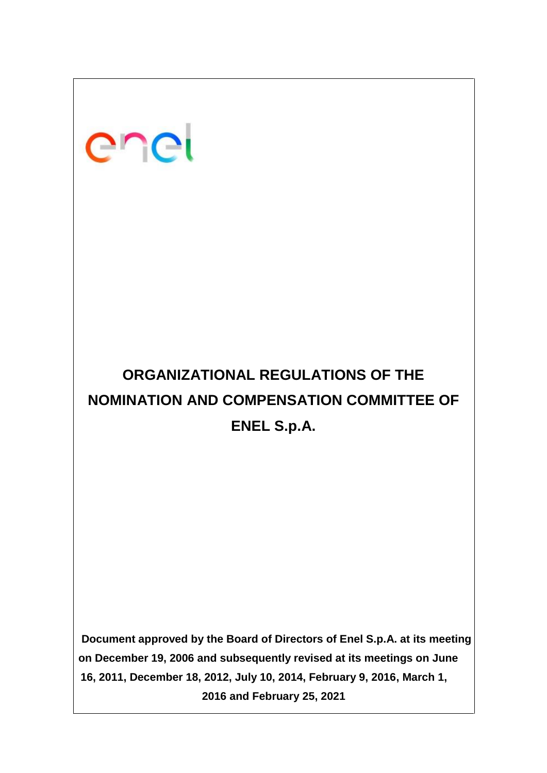# enei

# **ORGANIZATIONAL REGULATIONS OF THE NOMINATION AND COMPENSATION COMMITTEE OF ENEL S.p.A.**

**Document approved by the Board of Directors of Enel S.p.A. at its meeting on December 19, 2006 and subsequently revised at its meetings on June 16, 2011, December 18, 2012, July 10, 2014, February 9, 2016, March 1, 2016 and February 25, 2021**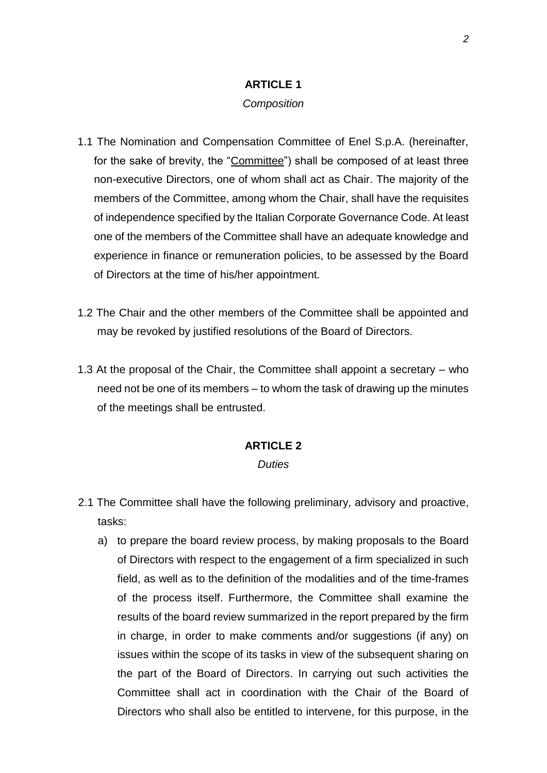## **ARTICLE 1**

#### *Composition*

- 1.1 The Nomination and Compensation Committee of Enel S.p.A. (hereinafter, for the sake of brevity, the "Committee") shall be composed of at least three non-executive Directors, one of whom shall act as Chair. The majority of the members of the Committee, among whom the Chair, shall have the requisites of independence specified by the Italian Corporate Governance Code. At least one of the members of the Committee shall have an adequate knowledge and experience in finance or remuneration policies, to be assessed by the Board of Directors at the time of his/her appointment.
- 1.2 The Chair and the other members of the Committee shall be appointed and may be revoked by justified resolutions of the Board of Directors.
- 1.3 At the proposal of the Chair, the Committee shall appoint a secretary who need not be one of its members – to whom the task of drawing up the minutes of the meetings shall be entrusted.

### **ARTICLE 2**

#### *Duties*

- 2.1 The Committee shall have the following preliminary, advisory and proactive, tasks:
	- a) to prepare the board review process, by making proposals to the Board of Directors with respect to the engagement of a firm specialized in such field, as well as to the definition of the modalities and of the time-frames of the process itself. Furthermore, the Committee shall examine the results of the board review summarized in the report prepared by the firm in charge, in order to make comments and/or suggestions (if any) on issues within the scope of its tasks in view of the subsequent sharing on the part of the Board of Directors. In carrying out such activities the Committee shall act in coordination with the Chair of the Board of Directors who shall also be entitled to intervene, for this purpose, in the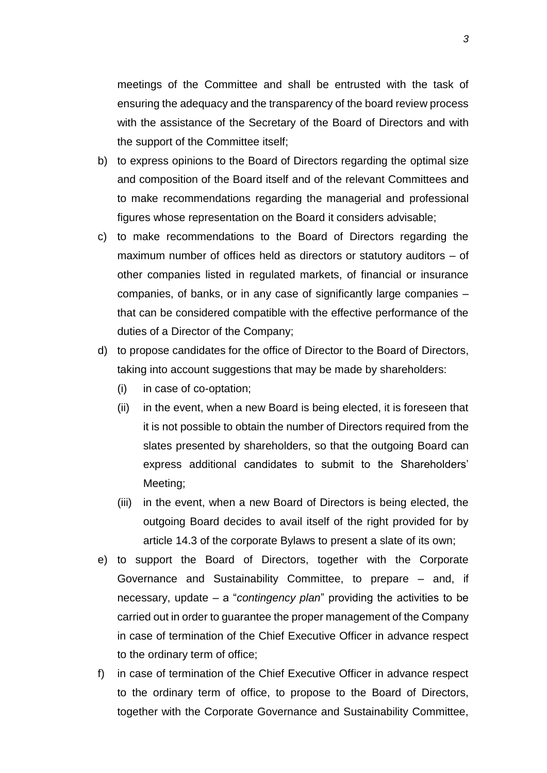meetings of the Committee and shall be entrusted with the task of ensuring the adequacy and the transparency of the board review process with the assistance of the Secretary of the Board of Directors and with the support of the Committee itself;

- b) to express opinions to the Board of Directors regarding the optimal size and composition of the Board itself and of the relevant Committees and to make recommendations regarding the managerial and professional figures whose representation on the Board it considers advisable;
- c) to make recommendations to the Board of Directors regarding the maximum number of offices held as directors or statutory auditors – of other companies listed in regulated markets, of financial or insurance companies, of banks, or in any case of significantly large companies – that can be considered compatible with the effective performance of the duties of a Director of the Company;
- d) to propose candidates for the office of Director to the Board of Directors, taking into account suggestions that may be made by shareholders:
	- (i) in case of co-optation;
	- (ii) in the event, when a new Board is being elected, it is foreseen that it is not possible to obtain the number of Directors required from the slates presented by shareholders, so that the outgoing Board can express additional candidates to submit to the Shareholders' Meeting;
	- (iii) in the event, when a new Board of Directors is being elected, the outgoing Board decides to avail itself of the right provided for by article 14.3 of the corporate Bylaws to present a slate of its own;
- e) to support the Board of Directors, together with the Corporate Governance and Sustainability Committee, to prepare – and, if necessary, update – a "*contingency plan*" providing the activities to be carried out in order to guarantee the proper management of the Company in case of termination of the Chief Executive Officer in advance respect to the ordinary term of office;
- f) in case of termination of the Chief Executive Officer in advance respect to the ordinary term of office, to propose to the Board of Directors, together with the Corporate Governance and Sustainability Committee,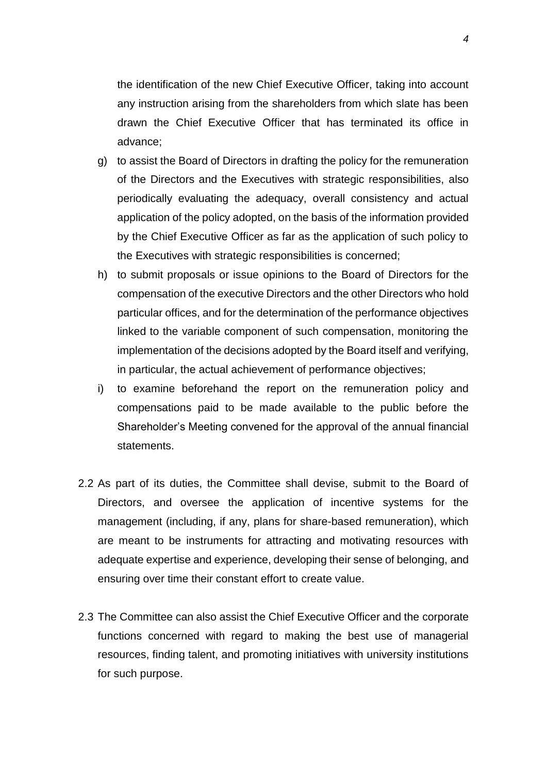the identification of the new Chief Executive Officer, taking into account any instruction arising from the shareholders from which slate has been drawn the Chief Executive Officer that has terminated its office in advance;

- g) to assist the Board of Directors in drafting the policy for the remuneration of the Directors and the Executives with strategic responsibilities, also periodically evaluating the adequacy, overall consistency and actual application of the policy adopted, on the basis of the information provided by the Chief Executive Officer as far as the application of such policy to the Executives with strategic responsibilities is concerned;
- h) to submit proposals or issue opinions to the Board of Directors for the compensation of the executive Directors and the other Directors who hold particular offices, and for the determination of the performance objectives linked to the variable component of such compensation, monitoring the implementation of the decisions adopted by the Board itself and verifying, in particular, the actual achievement of performance objectives;
- i) to examine beforehand the report on the remuneration policy and compensations paid to be made available to the public before the Shareholder's Meeting convened for the approval of the annual financial statements.
- 2.2 As part of its duties, the Committee shall devise, submit to the Board of Directors, and oversee the application of incentive systems for the management (including, if any, plans for share-based remuneration), which are meant to be instruments for attracting and motivating resources with adequate expertise and experience, developing their sense of belonging, and ensuring over time their constant effort to create value.
- 2.3 The Committee can also assist the Chief Executive Officer and the corporate functions concerned with regard to making the best use of managerial resources, finding talent, and promoting initiatives with university institutions for such purpose.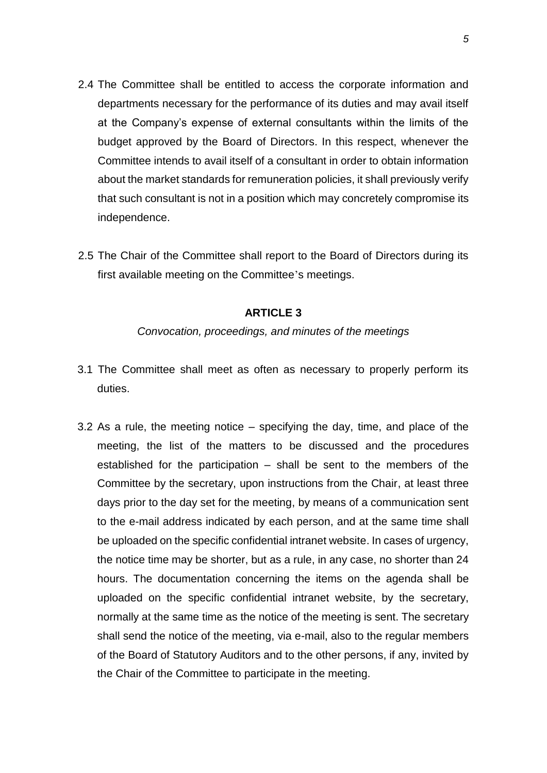- 2.4 The Committee shall be entitled to access the corporate information and departments necessary for the performance of its duties and may avail itself at the Company's expense of external consultants within the limits of the budget approved by the Board of Directors. In this respect, whenever the Committee intends to avail itself of a consultant in order to obtain information about the market standards for remuneration policies, it shall previously verify that such consultant is not in a position which may concretely compromise its independence.
- 2.5 The Chair of the Committee shall report to the Board of Directors during its first available meeting on the Committee's meetings.

# **ARTICLE 3**

#### *Convocation, proceedings, and minutes of the meetings*

- 3.1 The Committee shall meet as often as necessary to properly perform its duties.
- 3.2 As a rule, the meeting notice specifying the day, time, and place of the meeting, the list of the matters to be discussed and the procedures established for the participation – shall be sent to the members of the Committee by the secretary, upon instructions from the Chair, at least three days prior to the day set for the meeting, by means of a communication sent to the e-mail address indicated by each person, and at the same time shall be uploaded on the specific confidential intranet website. In cases of urgency, the notice time may be shorter, but as a rule, in any case, no shorter than 24 hours. The documentation concerning the items on the agenda shall be uploaded on the specific confidential intranet website, by the secretary, normally at the same time as the notice of the meeting is sent. The secretary shall send the notice of the meeting, via e-mail, also to the regular members of the Board of Statutory Auditors and to the other persons, if any, invited by the Chair of the Committee to participate in the meeting.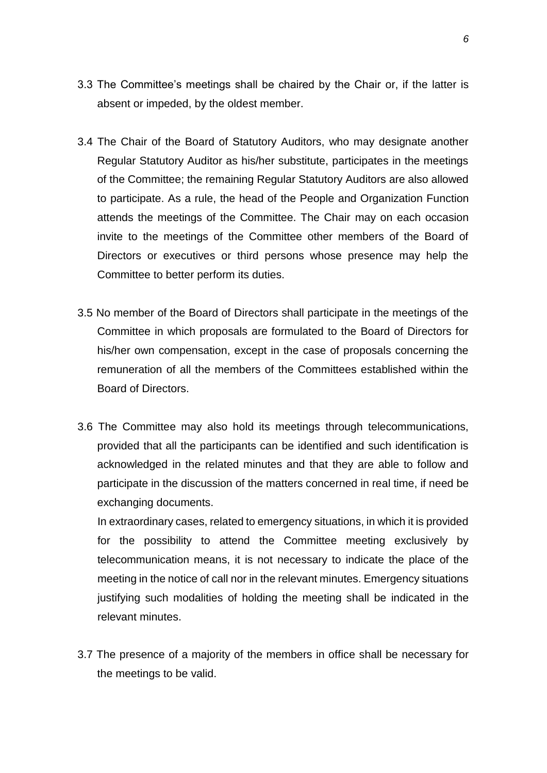- 3.3 The Committee's meetings shall be chaired by the Chair or, if the latter is absent or impeded, by the oldest member.
- 3.4 The Chair of the Board of Statutory Auditors, who may designate another Regular Statutory Auditor as his/her substitute, participates in the meetings of the Committee; the remaining Regular Statutory Auditors are also allowed to participate. As a rule, the head of the People and Organization Function attends the meetings of the Committee. The Chair may on each occasion invite to the meetings of the Committee other members of the Board of Directors or executives or third persons whose presence may help the Committee to better perform its duties.
- 3.5 No member of the Board of Directors shall participate in the meetings of the Committee in which proposals are formulated to the Board of Directors for his/her own compensation, except in the case of proposals concerning the remuneration of all the members of the Committees established within the Board of Directors.
- 3.6 The Committee may also hold its meetings through telecommunications, provided that all the participants can be identified and such identification is acknowledged in the related minutes and that they are able to follow and participate in the discussion of the matters concerned in real time, if need be exchanging documents.

In extraordinary cases, related to emergency situations, in which it is provided for the possibility to attend the Committee meeting exclusively by telecommunication means, it is not necessary to indicate the place of the meeting in the notice of call nor in the relevant minutes. Emergency situations justifying such modalities of holding the meeting shall be indicated in the relevant minutes.

3.7 The presence of a majority of the members in office shall be necessary for the meetings to be valid.